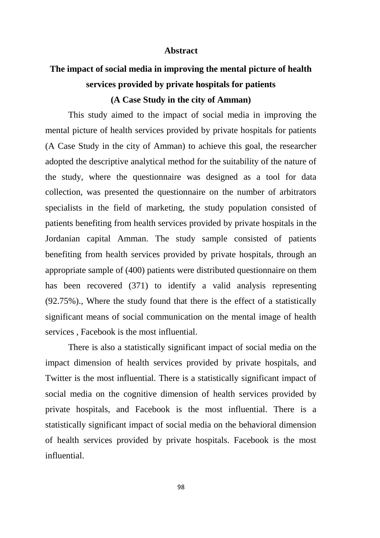## **Abstract**

## **The impact of social media in improving the mental picture of health services provided by private hospitals for patients (A Case Study in the city of Amman)**

This study aimed to the impact of social media in improving the mental picture of health services provided by private hospitals for patients (A Case Study in the city of Amman) to achieve this goal, the researcher adopted the descriptive analytical method for the suitability of the nature of the study, where the questionnaire was designed as a tool for data collection, was presented the questionnaire on the number of arbitrators specialists in the field of marketing, the study population consisted of patients benefiting from health services provided by private hospitals in the Jordanian capital Amman. The study sample consisted of patients benefiting from health services provided by private hospitals, through an appropriate sample of (400) patients were distributed questionnaire on them has been recovered (371) to identify a valid analysis representing (92.75%)., Where the study found that there is the effect of a statistically significant means of social communication on the mental image of health services , Facebook is the most influential.

There is also a statistically significant impact of social media on the impact dimension of health services provided by private hospitals, and Twitter is the most influential. There is a statistically significant impact of social media on the cognitive dimension of health services provided by private hospitals, and Facebook is the most influential. There is a statistically significant impact of social media on the behavioral dimension of health services provided by private hospitals. Facebook is the most influential.